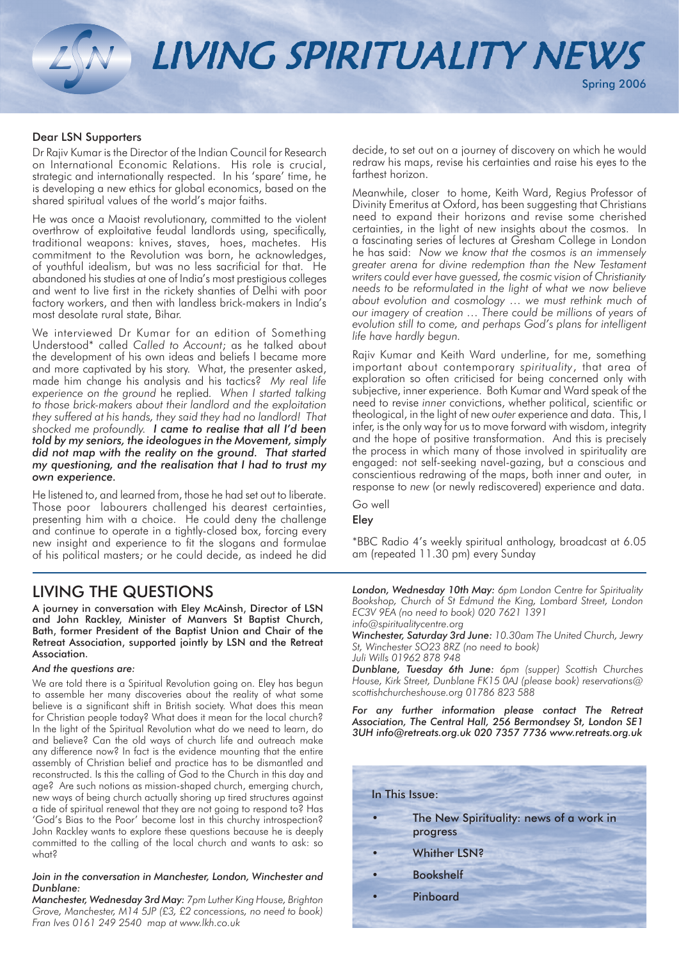LIVING SPIRITUALITY NEWS

### Dear LSN Supporters

Dr Rajiv Kumar is the Director of the Indian Council for Research on International Economic Relations. His role is crucial, strategic and internationally respected. In his 'spare' time, he is developing a new ethics for global economics, based on the shared spiritual values of the world's major faiths.

He was once a Maoist revolutionary, committed to the violent overthrow of exploitative feudal landlords using, specifically, traditional weapons: knives, staves, hoes, machetes. His commitment to the Revolution was born, he acknowledges, of youthful idealism, but was no less sacrificial for that. He abandoned his studies at one of India's most prestigious colleges and went to live first in the rickety shanties of Delhi with poor factory workers, and then with landless brick-makers in India's most desolate rural state, Bihar.

We interviewed Dr Kumar for an edition of Something Understood\* called *Called to Account*; as he talked about the development of his own ideas and beliefs I became more and more captivated by his story. What, the presenter asked, made him change his analysis and his tactics? *My real life experience on the ground* he replied*. When I started talking to those brick-makers about their landlord and the exploitation they suffered at his hands, they said they had no landlord! That shocked me profoundly. I came to realise that all I'd been told by my seniors, the ideologues in the Movement, simply did not map with the reality on the ground. That started my questioning, and the realisation that I had to trust my own experience.* 

He listened to, and learned from, those he had set out to liberate. Those poor labourers challenged his dearest certainties, presenting him with a choice. He could deny the challenge and continue to operate in a tightly-closed box, forcing every new insight and experience to fit the slogans and formulae of his political masters; or he could decide, as indeed he did

## LIVING THE QUESTIONS

A journey in conversation with Eley McAinsh, Director of LSN and John Rackley, Minister of Manvers St Baptist Church, Bath, former President of the Baptist Union and Chair of the Retreat Association, supported jointly by LSN and the Retreat Association.

#### *And the questions are:*

We are told there is a Spiritual Revolution going on. Eley has begun to assemble her many discoveries about the reality of what some believe is a significant shift in British society. What does this mean for Christian people today? What does it mean for the local church? In the light of the Spiritual Revolution what do we need to learn, do and believe? Can the old ways of church life and outreach make any difference now? In fact is the evidence mounting that the entire assembly of Christian belief and practice has to be dismantled and reconstructed. Is this the calling of God to the Church in this day and age? Are such notions as mission-shaped church, emerging church, new ways of being church actually shoring up tired structures against a tide of spiritual renewal that they are not going to respond to? Has 'God's Bias to the Poor' become lost in this churchy introspection? John Rackley wants to explore these questions because he is deeply committed to the calling of the local church and wants to ask: so what?

#### *Join in the conversation in Manchester, London, Winchester and Dunblane:*

*Manchester, Wednesday 3rd May: 7pm Luther King House, Brighton Grove, Manchester, M14 5JP (£3, £2 concessions, no need to book) Fran Ives 0161 249 2540 map at www.lkh.co.uk*

decide, to set out on a journey of discovery on which he would redraw his maps, revise his certainties and raise his eyes to the farthest horizon.

Meanwhile, closer to home, Keith Ward, Regius Professor of Divinity Emeritus at Oxford, has been suggesting that Christians need to expand their horizons and revise some cherished certainties, in the light of new insights about the cosmos. In a fascinating series of lectures at Gresham College in London he has said: *Now we know that the cosmos is an immensely greater arena for divine redemption than the New Testament writers could ever have guessed, the cosmic vision of Christianity needs to be reformulated in the light of what we now believe about evolution and cosmology … we must rethink much of our imagery of creation … There could be millions of years of evolution still to come, and perhaps God's plans for intelligent life have hardly begun.*

Rajiv Kumar and Keith Ward underline, for me, something important about contemporary *spirituality*, that area of exploration so often criticised for being concerned only with subjective, inner experience. Both Kumar and Ward speak of the need to revise *inner* convictions, whether political, scientific or theological, in the light of new *outer* experience and data. This, I infer, is the only way for us to move forward with wisdom, integrity and the hope of positive transformation. And this is precisely the process in which many of those involved in spirituality are engaged: not self-seeking navel-gazing, but a conscious and conscientious redrawing of the maps, both inner and outer, in response to *new* (or newly rediscovered) experience and data.

Go well

## Eley

\*BBC Radio 4's weekly spiritual anthology, broadcast at 6.05 am (repeated 11.30 pm) every Sunday

*London, Wednesday 10th May: 6pm London Centre for Spirituality Bookshop, Church of St Edmund the King, Lombard Street, London EC3V 9EA (no need to book) 020 7621 1391 info@spiritualitycentre.org*

*Winchester, Saturday 3rd June: 10.30am The United Church, Jewry St, Winchester SO23 8RZ (no need to book)* 

*Juli Wills 01962 878 948*

*Dunblane, Tuesday 6th June: 6pm (supper) Scottish Churches House, Kirk Street, Dunblane FK15 0AJ (please book) reservations@ scottishchurcheshouse.org 01786 823 588*

For any further information please contact The Retreat *Association, The Central Hall, 256 Bermondsey St, London SE1 3UH info@retreats.org.uk 020 7357 7736 www.retreats.org.uk* 

| In This Issue: |                                                     |
|----------------|-----------------------------------------------------|
|                | The New Spirituality: news of a work in<br>progress |
|                | <b>Whither LSN?</b>                                 |
|                | <b>Bookshelf</b>                                    |
|                | Pinboard                                            |
|                |                                                     |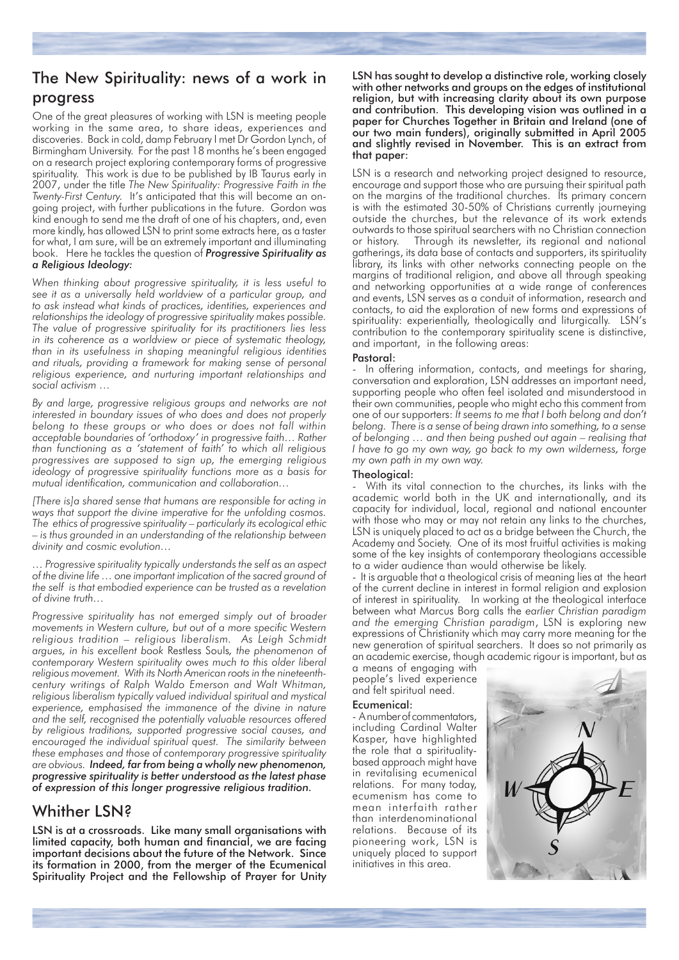# The New Spirituality: news of a work in progress

One of the great pleasures of working with LSN is meeting people working in the same area, to share ideas, experiences and discoveries. Back in cold, damp February I met Dr Gordon Lynch, of Birmingham University. For the past 18 months he's been engaged on a research project exploring contemporary forms of progressive spirituality. This work is due to be published by IB Taurus early in 2007, under the title *The New Spirituality: Progressive Faith in the Twenty-First Century.* It's anticipated that this will become an ongoing project, with further publications in the future. Gordon was kind enough to send me the draft of one of his chapters, and, even more kindly, has allowed LSN to print some extracts here, as a taster for what, I am sure, will be an extremely important and illuminating book. Here he tackles the question of *Progressive Spirituality as a Religious Ideology:*

*When thinking about progressive spirituality, it is less useful to see it as a universally held worldview of a particular group, and to ask instead what kinds of practices, identities, experiences and relationships the ideology of progressive spirituality makes possible. The value of progressive spirituality for its practitioners lies less in its coherence as a worldview or piece of systematic theology, than in its usefulness in shaping meaningful religious identities and rituals, providing a framework for making sense of personal religious experience, and nurturing important relationships and social activism …* 

*By and large, progressive religious groups and networks are not interested in boundary issues of who does and does not properly belong to these groups or who does or does not fall within acceptable boundaries of 'orthodoxy' in progressive faith… Rather than functioning as a 'statement of faith' to which all religious progressives are supposed to sign up, the emerging religious ideology of progressive spirituality functions more as a basis for mutual identification, communication and collaboration…*

*[There is]a shared sense that humans are responsible for acting in ways that support the divine imperative for the unfolding cosmos. The ethics of progressive spirituality – particularly its ecological ethic – is thus grounded in an understanding of the relationship between divinity and cosmic evolution…*

*… Progressive spirituality typically understands the self as an aspect of the divine life … one important implication of the sacred ground of the self is that embodied experience can be trusted as a revelation of divine truth…*

*Progressive spirituality has not emerged simply out of broader movements in Western culture, but out of a more specific Western religious tradition – religious liberalism. As Leigh Schmidt argues, in his excellent book* Restless Souls*, the phenomenon of contemporary Western spirituality owes much to this older liberal religious movement. With its North American roots in the nineteenthcentury writings of Ralph Waldo Emerson and Walt Whitman, religious liberalism typically valued individual spiritual and mystical*  experience, emphasised the immanence of the divine in nature *and the self, recognised the potentially valuable resources offered by religious traditions, supported progressive social causes, and encouraged the individual spiritual quest. The similarity between these emphases and those of contemporary progressive spirituality are obvious. Indeed, far from being a wholly new phenomenon, progressive spirituality is better understood as the latest phase of expression of this longer progressive religious tradition.*

## Whither LSN?

LSN is at a crossroads. Like many small organisations with limited capacity, both human and financial, we are facing important decisions about the future of the Network. Since its formation in 2000, from the merger of the Ecumenical Spirituality Project and the Fellowship of Prayer for Unity

LSN has sought to develop a distinctive role, working closely with other networks and groups on the edges of institutional religion, but with increasing clarity about its own purpose and contribution. This developing vision was outlined in a paper for Churches Together in Britain and Ireland (one of our two main funders), originally submitted in April 2005 and slightly revised in November. This is an extract from that paper:

LSN is a research and networking project designed to resource, encourage and support those who are pursuing their spiritual path on the margins of the traditional churches. Its primary concern is with the estimated 30-50% of Christians currently journeying outside the churches, but the relevance of its work extends outwards to those spiritual searchers with no Christian connection or history. Through its newsletter, its regional and national gatherings, its data base of contacts and supporters, its spirituality library, its links with other networks connecting people on the margins of traditional religion, and above all through speaking and networking opportunities at a wide range of conferences and events, LSN serves as a conduit of information, research and contacts, to aid the exploration of new forms and expressions of spirituality: experientially, theologically and liturgically. LSN's contribution to the contemporary spirituality scene is distinctive, and important, in the following areas:

#### Pastoral:

In offering information, contacts, and meetings for sharing, conversation and exploration, LSN addresses an important need, supporting people who often feel isolated and misunderstood in their own communities, people who might echo this comment from one of our supporters: *It seems to me that I both belong and don't belong. There is a sense of being drawn into something, to a sense of belonging … and then being pushed out again – realising that I have to go my own way, go back to my own wilderness, forge my own path in my own way.*

### Theological:

With its vital connection to the churches, its links with the academic world both in the UK and internationally, and its capacity for individual, local, regional and national encounter with those who may or may not retain any links to the churches, LSN is uniquely placed to act as a bridge between the Church, the Academy and Society. One of its most fruitful activities is making some of the key insights of contemporary theologians accessible to a wider audience than would otherwise be likely.

- It is arguable that a theological crisis of meaning lies at the heart of the current decline in interest in formal religion and explosion of interest in spirituality. In working at the theological interface between what Marcus Borg calls the *earlier Christian paradigm and the emerging Christian paradigm*, LSN is exploring new expressions of Christianity which may carry more meaning for the new generation of spiritual searchers. It does so not primarily as an academic exercise, though academic rigour is important, but as

a means of engaging with people's lived experience and felt spiritual need.

## Ecumenical:

- A number of commentators, including Cardinal Walter Kasper, have highlighted the role that a spiritualitybased approach might have in revitalising ecumenical relations. For many today, ecumenism has come to mean interfaith rather than interdenominational relations. Because of its pioneering work, LSN is uniquely placed to support initiatives in this area.

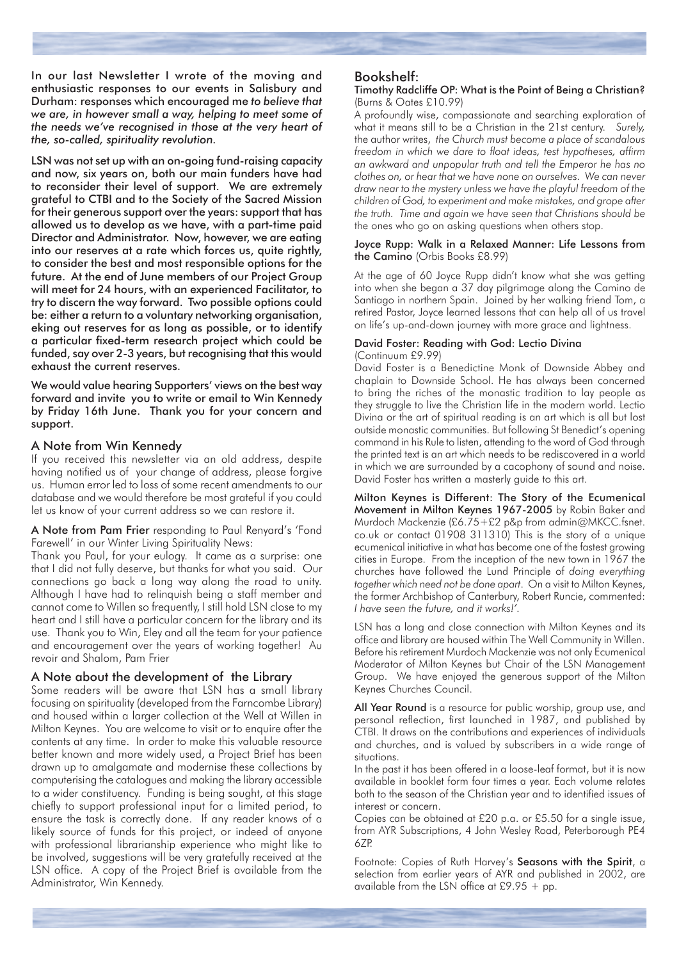In our last Newsletter I wrote of the moving and enthusiastic responses to our events in Salisbury and Durham: responses which encouraged me *to believe that we are, in however small a way, helping to meet some of the needs we've recognised in those at the very heart of the, so-called, spirituality revolution.*

LSN was not set up with an on-going fund-raising capacity and now, six years on, both our main funders have had to reconsider their level of support. We are extremely grateful to CTBI and to the Society of the Sacred Mission for their generous support over the years: support that has allowed us to develop as we have, with a part-time paid Director and Administrator. Now, however, we are eating into our reserves at a rate which forces us, quite rightly, to consider the best and most responsible options for the future. At the end of June members of our Project Group will meet for 24 hours, with an experienced Facilitator, to try to discern the way forward. Two possible options could be: either a return to a voluntary networking organisation, eking out reserves for as long as possible, or to identify a particular fixed-term research project which could be funded, say over 2-3 years, but recognising that this would exhaust the current reserves.

We would value hearing Supporters' views on the best way forward and invite you to write or email to Win Kennedy by Friday 16th June. Thank you for your concern and support.

#### A Note from Win Kennedy

If you received this newsletter via an old address, despite having notified us of your change of address, please forgive us. Human error led to loss of some recent amendments to our database and we would therefore be most grateful if you could let us know of your current address so we can restore it.

A Note from Pam Frier responding to Paul Renyard's 'Fond Farewell' in our Winter Living Spirituality News:

Thank you Paul, for your eulogy. It came as a surprise: one that I did not fully deserve, but thanks for what you said. Our connections go back a long way along the road to unity. Although I have had to relinquish being a staff member and cannot come to Willen so frequently, I still hold LSN close to my heart and I still have a particular concern for the library and its use. Thank you to Win, Eley and all the team for your patience and encouragement over the years of working together! Au revoir and Shalom, Pam Frier

## A Note about the development of the Library

Some readers will be aware that LSN has a small library focusing on spirituality (developed from the Farncombe Library) and housed within a larger collection at the Well at Willen in Milton Keynes. You are welcome to visit or to enquire after the contents at any time. In order to make this valuable resource better known and more widely used, a Project Brief has been drawn up to amalgamate and modernise these collections by computerising the catalogues and making the library accessible to a wider constituency. Funding is being sought, at this stage chiefly to support professional input for a limited period, to ensure the task is correctly done. If any reader knows of a likely source of funds for this project, or indeed of anyone with professional librarianship experience who might like to be involved, suggestions will be very gratefully received at the LSN office. A copy of the Project Brief is available from the Administrator, Win Kennedy.

#### Bookshelf:

#### Timothy Radcliffe OP: What is the Point of Being a Christian? (Burns & Oates £10.99)

A profoundly wise, compassionate and searching exploration of what it means still to be a Christian in the 21st century. *Surely,* the author writes, *the Church must become a place of scandalous freedom in which we dare to float ideas, test hypotheses, affirm an awkward and unpopular truth and tell the Emperor he has no clothes on, or hear that we have none on ourselves. We can never draw near to the mystery unless we have the playful freedom of the children of God, to experiment and make mistakes, and grope after the truth. Time and again we have seen that Christians should be*  the ones who go on asking questions when others stop.

#### Joyce Rupp: Walk in a Relaxed Manner: Life Lessons from the Camino (Orbis Books £8.99)

At the age of 60 Joyce Rupp didn't know what she was getting into when she began a 37 day pilgrimage along the Camino de Santiago in northern Spain. Joined by her walking friend Tom, a retired Pastor, Joyce learned lessons that can help all of us travel on life's up-and-down journey with more grace and lightness.

#### David Foster: Reading with God: Lectio Divina (Continuum £9.99)

David Foster is a Benedictine Monk of Downside Abbey and chaplain to Downside School. He has always been concerned to bring the riches of the monastic tradition to lay people as they struggle to live the Christian life in the modern world. Lectio Divina or the art of spiritual reading is an art which is all but lost outside monastic communities. But following St Benedict's opening command in his Rule to listen, attending to the word of God through the printed text is an art which needs to be rediscovered in a world in which we are surrounded by a cacophony of sound and noise. David Foster has written a masterly guide to this art.

Milton Keynes is Different: The Story of the Ecumenical Movement in Milton Keynes 1967-2005 by Robin Baker and Murdoch Mackenzie (£6.75+£2 p&p from admin@MKCC.fsnet. co.uk or contact 01908 311310) This is the story of a unique ecumenical initiative in what has become one of the fastest growing cities in Europe. From the inception of the new town in 1967 the churches have followed the Lund Principle of *doing everything together which need not be done apart*. On a visit to Milton Keynes, the former Archbishop of Canterbury, Robert Runcie, commented: *I have seen the future, and it works!'.*

LSN has a long and close connection with Milton Keynes and its office and library are housed within The Well Community in Willen. Before his retirement Murdoch Mackenzie was not only Ecumenical Moderator of Milton Keynes but Chair of the LSN Management Group. We have enjoyed the generous support of the Milton Keynes Churches Council.

All Year Round is a resource for public worship, group use, and personal reflection, first launched in 1987, and published by CTBI. It draws on the contributions and experiences of individuals and churches, and is valued by subscribers in a wide range of situations.

In the past it has been offered in a loose-leaf format, but it is now available in booklet form four times a year. Each volume relates both to the season of the Christian year and to identified issues of interest or concern.

Copies can be obtained at £20 p.a. or £5.50 for a single issue, from AYR Subscriptions, 4 John Wesley Road, Peterborough PE4 6ZP.

Footnote: Copies of Ruth Harvey's Seasons with the Spirit, a selection from earlier years of AYR and published in 2002, are available from the LSN office at £9.95  $+$  pp.